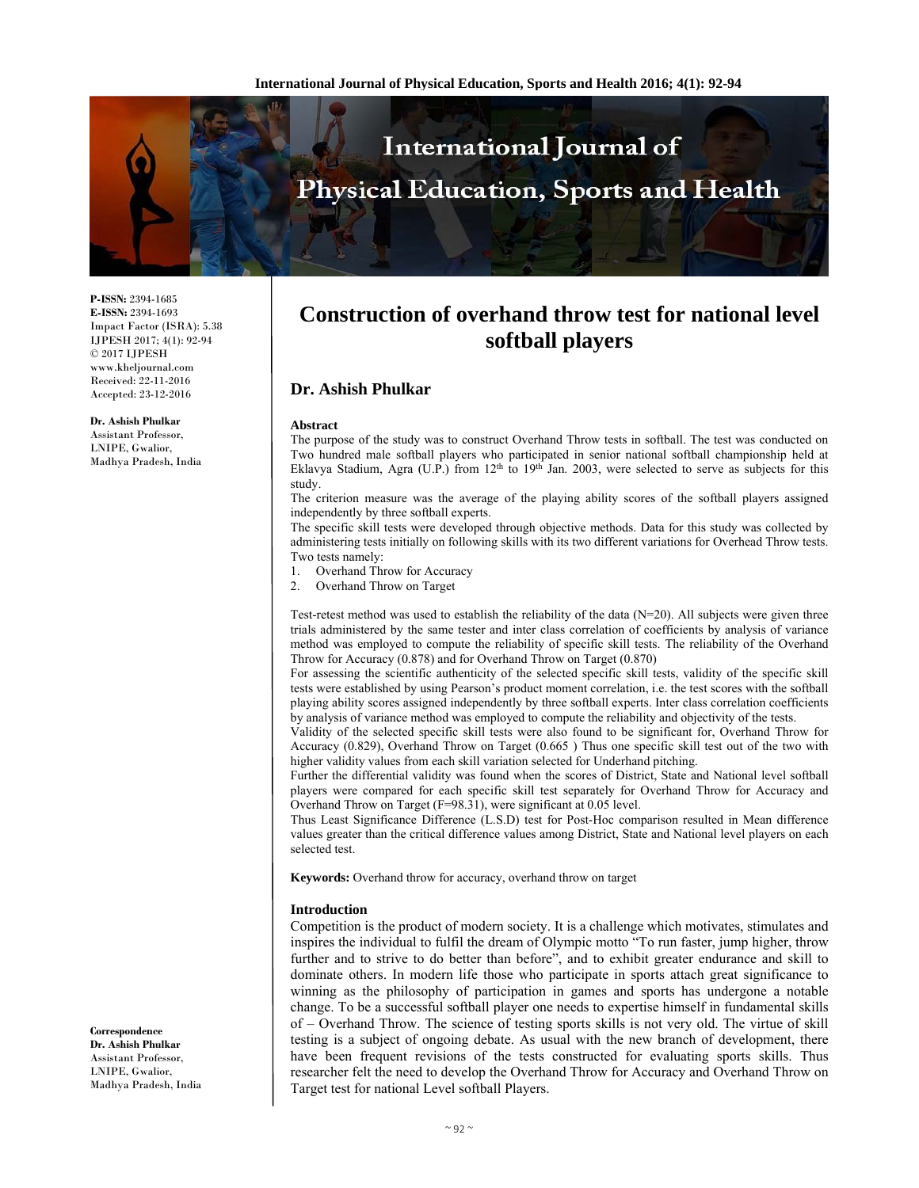

**P-ISSN:** 2394-1685 **E-ISSN:** 2394-1693 Impact Factor (ISRA): 5.38 IJPESH 2017; 4(1): 92-94  $\odot$  2017 IJPESH www.kheljournal.com Received: 22-11-2016 Accepted: 23-12-2016

#### **Dr. Ashish Phulkar**

Assistant Professor, LNIPE, Gwalior, Madhya Pradesh, India

**Correspondence Dr. Ashish Phulkar**  Assistant Professor, LNIPE, Gwalior, Madhya Pradesh, India

# **Construction of overhand throw test for national level softball players**

# **Dr. Ashish Phulkar**

#### **Abstract**

The purpose of the study was to construct Overhand Throw tests in softball. The test was conducted on Two hundred male softball players who participated in senior national softball championship held at Eklavya Stadium, Agra (U.P.) from  $12<sup>th</sup>$  to  $19<sup>th</sup>$  Jan. 2003, were selected to serve as subjects for this study.

The criterion measure was the average of the playing ability scores of the softball players assigned independently by three softball experts.

The specific skill tests were developed through objective methods. Data for this study was collected by administering tests initially on following skills with its two different variations for Overhead Throw tests. Two tests namely:

- 1. Overhand Throw for Accuracy
- 2. Overhand Throw on Target

Test-retest method was used to establish the reliability of the data  $(N=20)$ . All subjects were given three trials administered by the same tester and inter class correlation of coefficients by analysis of variance method was employed to compute the reliability of specific skill tests. The reliability of the Overhand Throw for Accuracy (0.878) and for Overhand Throw on Target (0.870)

For assessing the scientific authenticity of the selected specific skill tests, validity of the specific skill tests were established by using Pearson's product moment correlation, i.e. the test scores with the softball playing ability scores assigned independently by three softball experts. Inter class correlation coefficients by analysis of variance method was employed to compute the reliability and objectivity of the tests.

Validity of the selected specific skill tests were also found to be significant for, Overhand Throw for Accuracy (0.829), Overhand Throw on Target (0.665 ) Thus one specific skill test out of the two with higher validity values from each skill variation selected for Underhand pitching.

Further the differential validity was found when the scores of District, State and National level softball players were compared for each specific skill test separately for Overhand Throw for Accuracy and Overhand Throw on Target (F=98.31), were significant at 0.05 level.

Thus Least Significance Difference (L.S.D) test for Post-Hoc comparison resulted in Mean difference values greater than the critical difference values among District, State and National level players on each selected test.

**Keywords:** Overhand throw for accuracy, overhand throw on target

### **Introduction**

Competition is the product of modern society. It is a challenge which motivates, stimulates and inspires the individual to fulfil the dream of Olympic motto "To run faster, jump higher, throw further and to strive to do better than before", and to exhibit greater endurance and skill to dominate others. In modern life those who participate in sports attach great significance to winning as the philosophy of participation in games and sports has undergone a notable change. To be a successful softball player one needs to expertise himself in fundamental skills of – Overhand Throw. The science of testing sports skills is not very old. The virtue of skill testing is a subject of ongoing debate. As usual with the new branch of development, there have been frequent revisions of the tests constructed for evaluating sports skills. Thus researcher felt the need to develop the Overhand Throw for Accuracy and Overhand Throw on Target test for national Level softball Players.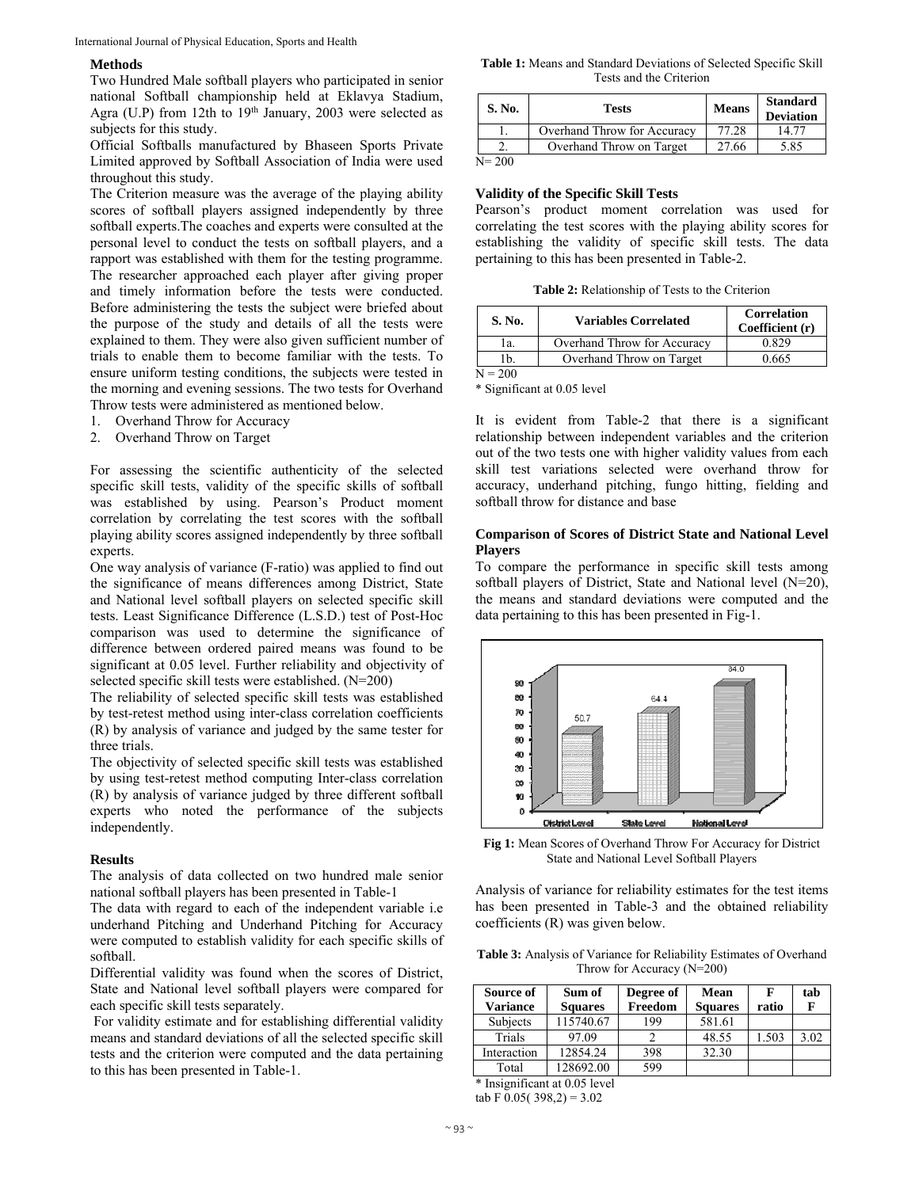#### **Methods**

Two Hundred Male softball players who participated in senior national Softball championship held at Eklavya Stadium, Agra (U.P) from 12th to  $19<sup>th</sup>$  January, 2003 were selected as subjects for this study.

Official Softballs manufactured by Bhaseen Sports Private Limited approved by Softball Association of India were used throughout this study.

The Criterion measure was the average of the playing ability scores of softball players assigned independently by three softball experts.The coaches and experts were consulted at the personal level to conduct the tests on softball players, and a rapport was established with them for the testing programme. The researcher approached each player after giving proper and timely information before the tests were conducted. Before administering the tests the subject were briefed about the purpose of the study and details of all the tests were explained to them. They were also given sufficient number of trials to enable them to become familiar with the tests. To ensure uniform testing conditions, the subjects were tested in the morning and evening sessions. The two tests for Overhand Throw tests were administered as mentioned below.

- 1. Overhand Throw for Accuracy
- 2. Overhand Throw on Target

For assessing the scientific authenticity of the selected specific skill tests, validity of the specific skills of softball was established by using. Pearson's Product moment correlation by correlating the test scores with the softball playing ability scores assigned independently by three softball experts.

One way analysis of variance (F-ratio) was applied to find out the significance of means differences among District, State and National level softball players on selected specific skill tests. Least Significance Difference (L.S.D.) test of Post-Hoc comparison was used to determine the significance of difference between ordered paired means was found to be significant at 0.05 level. Further reliability and objectivity of selected specific skill tests were established. (N=200)

The reliability of selected specific skill tests was established by test-retest method using inter-class correlation coefficients (R) by analysis of variance and judged by the same tester for three trials.

The objectivity of selected specific skill tests was established by using test-retest method computing Inter-class correlation (R) by analysis of variance judged by three different softball experts who noted the performance of the subjects independently.

#### **Results**

The analysis of data collected on two hundred male senior national softball players has been presented in Table-1

The data with regard to each of the independent variable i.e underhand Pitching and Underhand Pitching for Accuracy were computed to establish validity for each specific skills of softball.

Differential validity was found when the scores of District, State and National level softball players were compared for each specific skill tests separately.

 For validity estimate and for establishing differential validity means and standard deviations of all the selected specific skill tests and the criterion were computed and the data pertaining to this has been presented in Table-1.

**Table 1:** Means and Standard Deviations of Selected Specific Skill Tests and the Criterion

| <b>S. No.</b> | Tests                       | <b>Means</b> | <b>Standard</b><br><b>Deviation</b> |
|---------------|-----------------------------|--------------|-------------------------------------|
|               | Overhand Throw for Accuracy | 77.28        | 14.77                               |
|               | Overhand Throw on Target    | 27.66        | 5.85                                |
| $N = 200$     |                             |              |                                     |

 $N= 200$ 

### **Validity of the Specific Skill Tests**

Pearson's product moment correlation was used for correlating the test scores with the playing ability scores for establishing the validity of specific skill tests. The data pertaining to this has been presented in Table-2.

**Table 2:** Relationship of Tests to the Criterion

| S. No.    | <b>Variables Correlated</b> | <b>Correlation</b><br>Coefficient (r) |
|-----------|-----------------------------|---------------------------------------|
| 1a.       | Overhand Throw for Accuracy | 0.829                                 |
| 1b.       | Overhand Throw on Target    | 0.665                                 |
| $N = 200$ |                             |                                       |

\* Significant at 0.05 level

It is evident from Table-2 that there is a significant relationship between independent variables and the criterion out of the two tests one with higher validity values from each skill test variations selected were overhand throw for accuracy, underhand pitching, fungo hitting, fielding and softball throw for distance and base

### **Comparison of Scores of District State and National Level Players**

To compare the performance in specific skill tests among softball players of District, State and National level (N=20), the means and standard deviations were computed and the data pertaining to this has been presented in Fig-1.



**Fig 1:** Mean Scores of Overhand Throw For Accuracy for District State and National Level Softball Players

Analysis of variance for reliability estimates for the test items has been presented in Table-3 and the obtained reliability coefficients (R) was given below.

**Table 3:** Analysis of Variance for Reliability Estimates of Overhand Throw for Accuracy (N=200)

| Source of<br>Variance | Sum of<br><b>Squares</b> | Degree of<br>Freedom | <b>Mean</b><br><b>Squares</b> | F<br>ratio | tab  |
|-----------------------|--------------------------|----------------------|-------------------------------|------------|------|
| Subjects              | 115740.67                | 199                  | 581.61                        |            |      |
| Trials                | 97.09                    |                      | 48.55                         | 1.503      | 3.02 |
| Interaction           | 12854.24                 | 398                  | 32.30                         |            |      |
| Total                 | 128692.00                | 599                  |                               |            |      |

\* Insignificant at 0.05 level

tab F  $0.05(398,2) = 3.02$